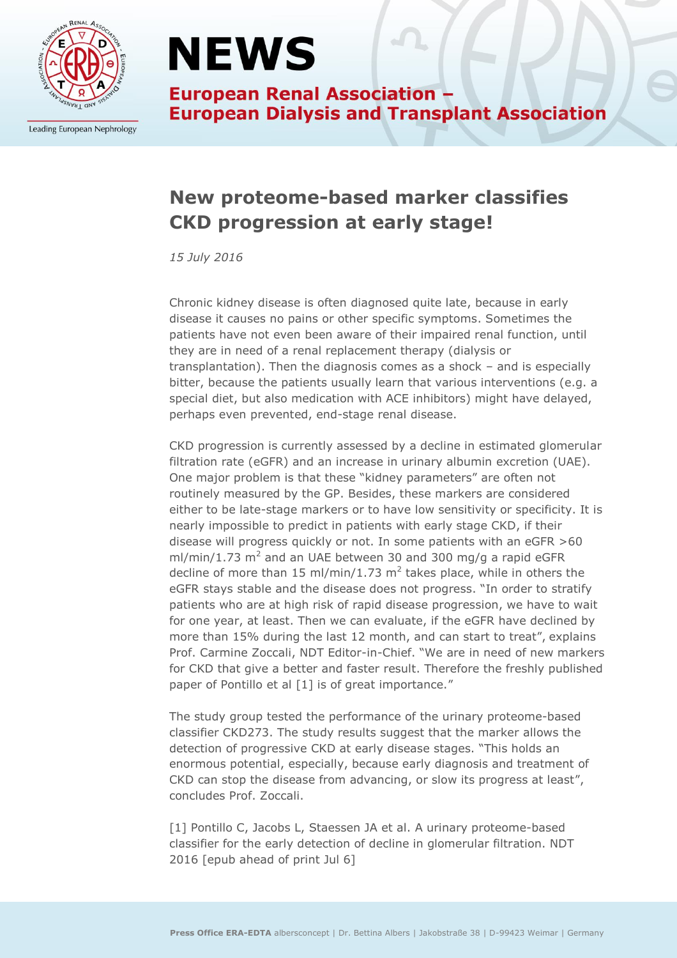

Leading European Nephrology

## **NEWS**

**European Renal Association -European Dialysis and Transplant Association** 

### **New proteome-based marker classifies CKD progression at early stage!**

*15 July 2016*

Chronic kidney disease is often diagnosed quite late, because in early disease it causes no pains or other specific symptoms. Sometimes the patients have not even been aware of their impaired renal function, until they are in need of a renal replacement therapy (dialysis or transplantation). Then the diagnosis comes as a shock – and is especially bitter, because the patients usually learn that various interventions (e.g. a special diet, but also medication with ACE inhibitors) might have delayed, perhaps even prevented, end-stage renal disease.

CKD progression is currently assessed by a decline in estimated glomerular filtration rate (eGFR) and an increase in urinary albumin excretion (UAE). One major problem is that these "kidney parameters" are often not routinely measured by the GP. Besides, these markers are considered either to be late-stage markers or to have low sensitivity or specificity. It is nearly impossible to predict in patients with early stage CKD, if their disease will progress quickly or not. In some patients with an eGFR >60 ml/min/1.73  $m^2$  and an UAE between 30 and 300 mg/g a rapid eGFR decline of more than 15 ml/min/1.73  $m^2$  takes place, while in others the eGFR stays stable and the disease does not progress. "In order to stratify patients who are at high risk of rapid disease progression, we have to wait for one year, at least. Then we can evaluate, if the eGFR have declined by more than 15% during the last 12 month, and can start to treat", explains Prof. Carmine Zoccali, NDT Editor-in-Chief. "We are in need of new markers for CKD that give a better and faster result. Therefore the freshly published paper of Pontillo et al [1] is of great importance."

The study group tested the performance of the urinary proteome-based classifier CKD273. The study results suggest that the marker allows the detection of progressive CKD at early disease stages. "This holds an enormous potential, especially, because early diagnosis and treatment of CKD can stop the disease from advancing, or slow its progress at least", concludes Prof. Zoccali.

[1] Pontillo C, Jacobs L, Staessen JA et al. A urinary proteome-based classifier for the early detection of decline in glomerular filtration. NDT 2016 [epub ahead of print Jul 6]